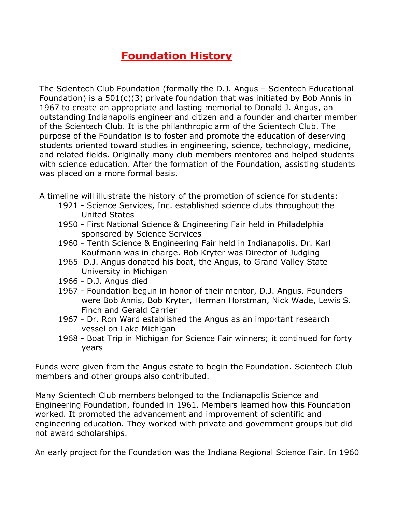## **Foundation History**

The Scientech Club Foundation (formally the D.J. Angus – Scientech Educational Foundation) is a  $501(c)(3)$  private foundation that was initiated by Bob Annis in 1967 to create an appropriate and lasting memorial to Donald J. Angus, an outstanding Indianapolis engineer and citizen and a founder and charter member of the Scientech Club. It is the philanthropic arm of the Scientech Club. The purpose of the Foundation is to foster and promote the education of deserving students oriented toward studies in engineering, science, technology, medicine, and related fields. Originally many club members mentored and helped students with science education. After the formation of the Foundation, assisting students was placed on a more formal basis.

- A timeline will illustrate the history of the promotion of science for students:
	- 1921 Science Services, Inc. established science clubs throughout the United States
	- 1950 First National Science & Engineering Fair held in Philadelphia sponsored by Science Services
	- 1960 Tenth Science & Engineering Fair held in Indianapolis. Dr. Karl Kaufmann was in charge. Bob Kryter was Director of Judging
	- 1965 D.J. Angus donated his boat, the Angus, to Grand Valley State University in Michigan
	- 1966 D.J. Angus died
	- 1967 Foundation begun in honor of their mentor, D.J. Angus. Founders were Bob Annis, Bob Kryter, Herman Horstman, Nick Wade, Lewis S. Finch and Gerald Carrier
	- 1967 Dr. Ron Ward established the Angus as an important research vessel on Lake Michigan
	- 1968 Boat Trip in Michigan for Science Fair winners; it continued for forty years

Funds were given from the Angus estate to begin the Foundation. Scientech Club members and other groups also contributed.

Many Scientech Club members belonged to the Indianapolis Science and Engineering Foundation, founded in 1961. Members learned how this Foundation worked. It promoted the advancement and improvement of scientific and engineering education. They worked with private and government groups but did not award scholarships.

An early project for the Foundation was the Indiana Regional Science Fair. In 1960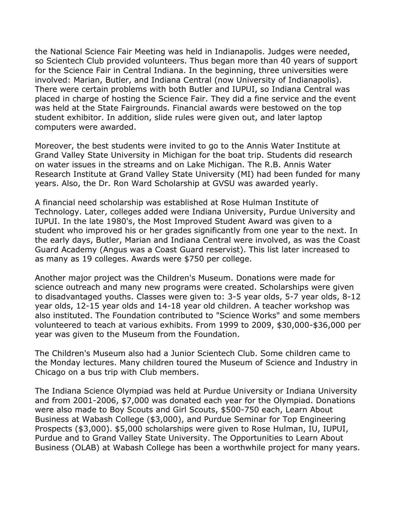the National Science Fair Meeting was held in Indianapolis. Judges were needed, so Scientech Club provided volunteers. Thus began more than 40 years of support for the Science Fair in Central Indiana. In the beginning, three universities were involved: Marian, Butler, and Indiana Central (now University of Indianapolis). There were certain problems with both Butler and IUPUI, so Indiana Central was placed in charge of hosting the Science Fair. They did a fine service and the event was held at the State Fairgrounds. Financial awards were bestowed on the top student exhibitor. In addition, slide rules were given out, and later laptop computers were awarded.

Moreover, the best students were invited to go to the Annis Water Institute at Grand Valley State University in Michigan for the boat trip. Students did research on water issues in the streams and on Lake Michigan. The R.B. Annis Water Research Institute at Grand Valley State University (MI) had been funded for many years. Also, the Dr. Ron Ward Scholarship at GVSU was awarded yearly.

A financial need scholarship was established at Rose Hulman Institute of Technology. Later, colleges added were Indiana University, Purdue University and IUPUI. In the late 1980's, the Most Improved Student Award was given to a student who improved his or her grades significantly from one year to the next. In the early days, Butler, Marian and Indiana Central were involved, as was the Coast Guard Academy (Angus was a Coast Guard reservist). This list later increased to as many as 19 colleges. Awards were \$750 per college.

Another major project was the Children's Museum. Donations were made for science outreach and many new programs were created. Scholarships were given to disadvantaged youths. Classes were given to: 3-5 year olds, 5-7 year olds, 8-12 year olds, 12-15 year olds and 14-18 year old children. A teacher workshop was also instituted. The Foundation contributed to "Science Works" and some members volunteered to teach at various exhibits. From 1999 to 2009, \$30,000-\$36,000 per year was given to the Museum from the Foundation.

The Children's Museum also had a Junior Scientech Club. Some children came to the Monday lectures. Many children toured the Museum of Science and Industry in Chicago on a bus trip with Club members.

The Indiana Science Olympiad was held at Purdue University or Indiana University and from 2001-2006, \$7,000 was donated each year for the Olympiad. Donations were also made to Boy Scouts and Girl Scouts, \$500-750 each, Learn About Business at Wabash College (\$3,000), and Purdue Seminar for Top Engineering Prospects (\$3,000). \$5,000 scholarships were given to Rose Hulman, IU, IUPUI, Purdue and to Grand Valley State University. The Opportunities to Learn About Business (OLAB) at Wabash College has been a worthwhile project for many years.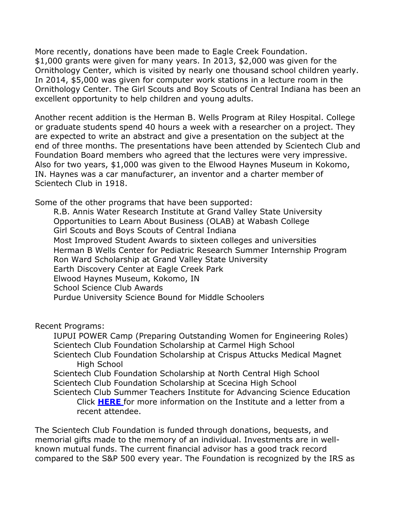More recently, donations have been made to Eagle Creek Foundation. \$1,000 grants were given for many years. In 2013, \$2,000 was given for the Ornithology Center, which is visited by nearly one thousand school children yearly. In 2014, \$5,000 was given for computer work stations in a lecture room in the Ornithology Center. The Girl Scouts and Boy Scouts of Central Indiana has been an excellent opportunity to help children and young adults.

Another recent addition is the Herman B. Wells Program at Riley Hospital. College or graduate students spend 40 hours a week with a researcher on a project. They are expected to write an abstract and give a presentation on the subject at the end of three months. The presentations have been attended by Scientech Club and Foundation Board members who agreed that the lectures were very impressive. Also for two years, \$1,000 was given to the Elwood Haynes Museum in Kokomo, IN. Haynes was a car manufacturer, an inventor and a charter member of Scientech Club in 1918.

Some of the other programs that have been supported:

R.B. Annis Water Research Institute at Grand Valley State University Opportunities to Learn About Business (OLAB) at Wabash College Girl Scouts and Boys Scouts of Central Indiana Most Improved Student Awards to sixteen colleges and universities Herman B Wells Center for Pediatric Research Summer Internship Program Ron Ward Scholarship at Grand Valley State University Earth Discovery Center at Eagle Creek Park Elwood Haynes Museum, Kokomo, IN School Science Club Awards Purdue University Science Bound for Middle Schoolers

Recent Programs:

IUPUI POWER Camp (Preparing Outstanding Women for Engineering Roles) Scientech Club Foundation Scholarship at Carmel High School Scientech Club Foundation Scholarship at Crispus Attucks Medical Magnet High School Scientech Club Foundation Scholarship at North Central High School Scientech Club Foundation Scholarship at Scecina High School Scientech Club Summer Teachers Institute for Advancing Science Education Click **[HERE](https://www.scientechclub.org/foundation/FoundationLetter.pdf)** for more information on the Institute and a letter from a recent attendee.

The Scientech Club Foundation is funded through donations, bequests, and memorial gifts made to the memory of an individual. Investments are in wellknown mutual funds. The current financial advisor has a good track record compared to the S&P 500 every year. The Foundation is recognized by the IRS as